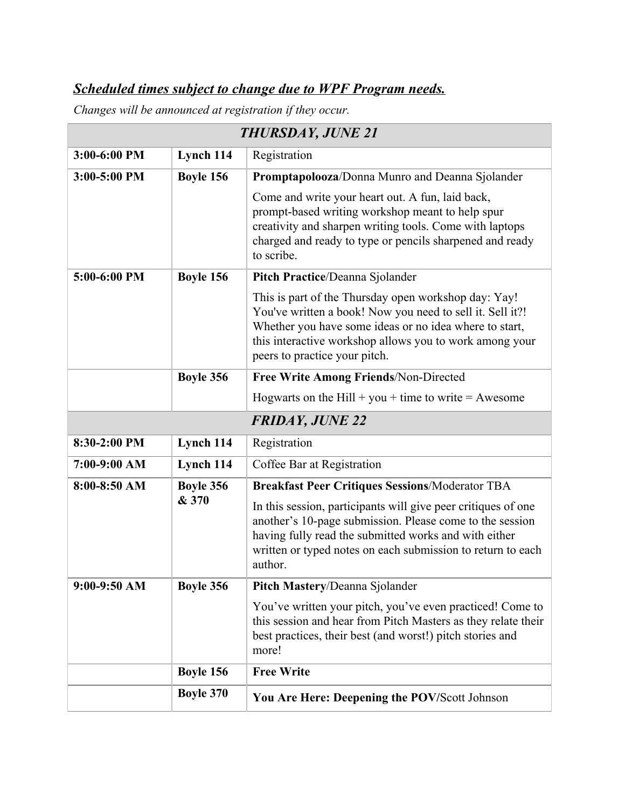## *Scheduled times subject to change due to WPF Program needs.*

*Changes will be announced at registration if they occur.*

| <b>THURSDAY, JUNE 21</b> |                  |                                                                                                                                                                                                                                                                         |
|--------------------------|------------------|-------------------------------------------------------------------------------------------------------------------------------------------------------------------------------------------------------------------------------------------------------------------------|
| 3:00-6:00 PM             | Lynch 114        | Registration                                                                                                                                                                                                                                                            |
| 3:00-5:00 PM             | Boyle 156        | Promptapolooza/Donna Munro and Deanna Sjolander                                                                                                                                                                                                                         |
|                          |                  | Come and write your heart out. A fun, laid back,<br>prompt-based writing workshop meant to help spur<br>creativity and sharpen writing tools. Come with laptops<br>charged and ready to type or pencils sharpened and ready<br>to scribe.                               |
| 5:00-6:00 PM             | Boyle 156        | Pitch Practice/Deanna Sjolander                                                                                                                                                                                                                                         |
|                          |                  | This is part of the Thursday open workshop day: Yay!<br>You've written a book! Now you need to sell it. Sell it?!<br>Whether you have some ideas or no idea where to start,<br>this interactive workshop allows you to work among your<br>peers to practice your pitch. |
|                          | Boyle 356        | Free Write Among Friends/Non-Directed                                                                                                                                                                                                                                   |
|                          |                  | Hogwarts on the Hill + you + time to write = Awesome                                                                                                                                                                                                                    |
|                          |                  | <b>FRIDAY, JUNE 22</b>                                                                                                                                                                                                                                                  |
| 8:30-2:00 PM             | Lynch 114        | Registration                                                                                                                                                                                                                                                            |
| 7:00-9:00 AM             | Lynch 114        | Coffee Bar at Registration                                                                                                                                                                                                                                              |
| $8:00-8:50$ AM           | Boyle 356        | <b>Breakfast Peer Critiques Sessions/Moderator TBA</b>                                                                                                                                                                                                                  |
|                          | & 370            | In this session, participants will give peer critiques of one<br>another's 10-page submission. Please come to the session<br>having fully read the submitted works and with either<br>written or typed notes on each submission to return to each<br>author.            |
| 9:00-9:50 AM             | <b>Boyle 356</b> | Pitch Mastery/Deanna Sjolander                                                                                                                                                                                                                                          |
|                          |                  | You've written your pitch, you've even practiced! Come to<br>this session and hear from Pitch Masters as they relate their<br>best practices, their best (and worst!) pitch stories and<br>more!                                                                        |
|                          | Boyle 156        | <b>Free Write</b>                                                                                                                                                                                                                                                       |
|                          | <b>Boyle 370</b> | You Are Here: Deepening the POV/Scott Johnson                                                                                                                                                                                                                           |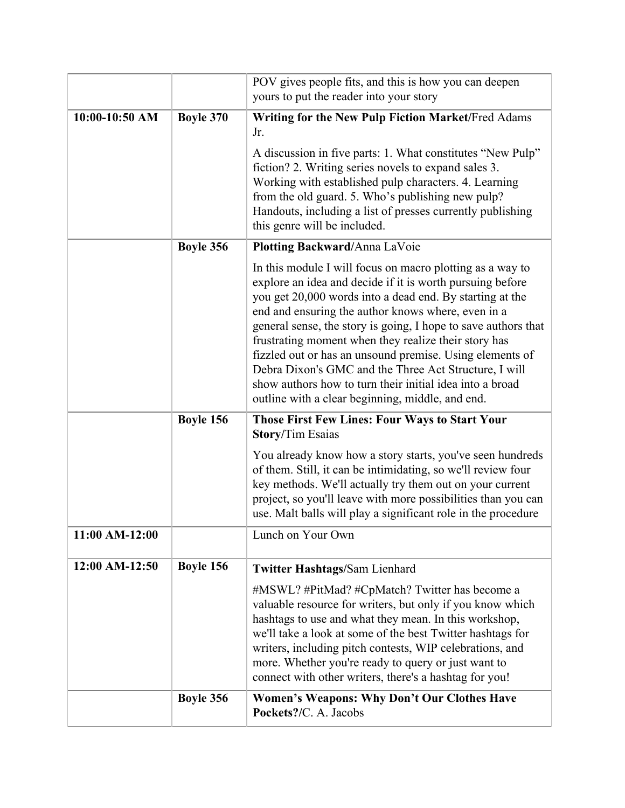|                  |                  | POV gives people fits, and this is how you can deepen<br>yours to put the reader into your story                                                                                                                                                                                                                                                                                                                                                                                                                                                                                                        |
|------------------|------------------|---------------------------------------------------------------------------------------------------------------------------------------------------------------------------------------------------------------------------------------------------------------------------------------------------------------------------------------------------------------------------------------------------------------------------------------------------------------------------------------------------------------------------------------------------------------------------------------------------------|
| $10:00-10:50$ AM | <b>Boyle 370</b> | Writing for the New Pulp Fiction Market/Fred Adams<br>Jr.                                                                                                                                                                                                                                                                                                                                                                                                                                                                                                                                               |
|                  |                  | A discussion in five parts: 1. What constitutes "New Pulp"<br>fiction? 2. Writing series novels to expand sales 3.<br>Working with established pulp characters. 4. Learning<br>from the old guard. 5. Who's publishing new pulp?<br>Handouts, including a list of presses currently publishing<br>this genre will be included.                                                                                                                                                                                                                                                                          |
|                  | Boyle 356        | Plotting Backward/Anna LaVoie                                                                                                                                                                                                                                                                                                                                                                                                                                                                                                                                                                           |
|                  |                  | In this module I will focus on macro plotting as a way to<br>explore an idea and decide if it is worth pursuing before<br>you get 20,000 words into a dead end. By starting at the<br>end and ensuring the author knows where, even in a<br>general sense, the story is going, I hope to save authors that<br>frustrating moment when they realize their story has<br>fizzled out or has an unsound premise. Using elements of<br>Debra Dixon's GMC and the Three Act Structure, I will<br>show authors how to turn their initial idea into a broad<br>outline with a clear beginning, middle, and end. |
|                  | Boyle 156        | <b>Those First Few Lines: Four Ways to Start Your</b><br><b>Story/Tim Esaias</b>                                                                                                                                                                                                                                                                                                                                                                                                                                                                                                                        |
|                  |                  | You already know how a story starts, you've seen hundreds<br>of them. Still, it can be intimidating, so we'll review four<br>key methods. We'll actually try them out on your current<br>project, so you'll leave with more possibilities than you can<br>use. Malt balls will play a significant role in the procedure                                                                                                                                                                                                                                                                                 |
| 11:00 AM-12:00   |                  | Lunch on Your Own                                                                                                                                                                                                                                                                                                                                                                                                                                                                                                                                                                                       |
| 12:00 AM-12:50   | Boyle 156        | <b>Twitter Hashtags/Sam Lienhard</b>                                                                                                                                                                                                                                                                                                                                                                                                                                                                                                                                                                    |
|                  |                  | #MSWL? #PitMad? #CpMatch? Twitter has become a<br>valuable resource for writers, but only if you know which<br>hashtags to use and what they mean. In this workshop,<br>we'll take a look at some of the best Twitter hashtags for<br>writers, including pitch contests, WIP celebrations, and<br>more. Whether you're ready to query or just want to<br>connect with other writers, there's a hashtag for you!                                                                                                                                                                                         |
|                  | Boyle 356        | <b>Women's Weapons: Why Don't Our Clothes Have</b><br>Pockets?/C. A. Jacobs                                                                                                                                                                                                                                                                                                                                                                                                                                                                                                                             |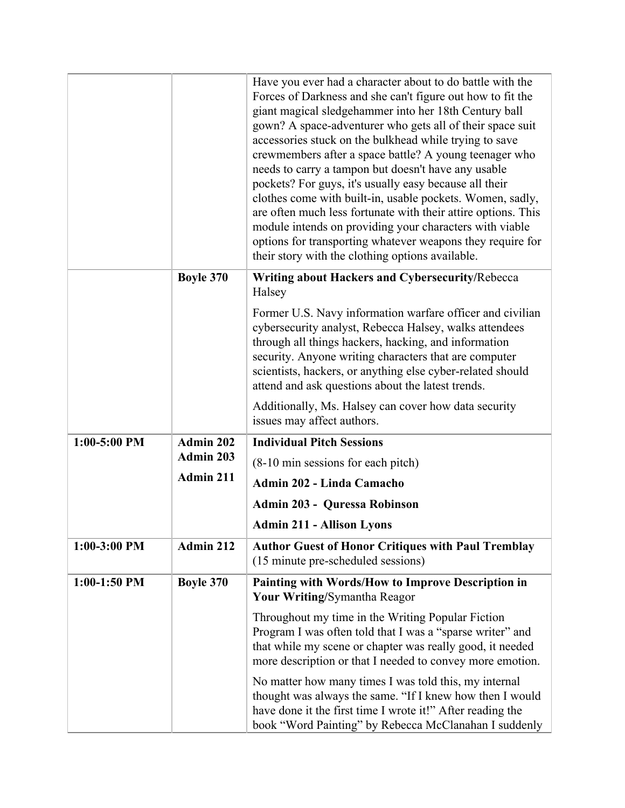|                |                  | Have you ever had a character about to do battle with the<br>Forces of Darkness and she can't figure out how to fit the<br>giant magical sledgehammer into her 18th Century ball<br>gown? A space-adventurer who gets all of their space suit<br>accessories stuck on the bulkhead while trying to save                                                                                                                                                                            |
|----------------|------------------|------------------------------------------------------------------------------------------------------------------------------------------------------------------------------------------------------------------------------------------------------------------------------------------------------------------------------------------------------------------------------------------------------------------------------------------------------------------------------------|
|                |                  | crewmembers after a space battle? A young teenager who<br>needs to carry a tampon but doesn't have any usable<br>pockets? For guys, it's usually easy because all their<br>clothes come with built-in, usable pockets. Women, sadly,<br>are often much less fortunate with their attire options. This<br>module intends on providing your characters with viable<br>options for transporting whatever weapons they require for<br>their story with the clothing options available. |
|                | <b>Boyle 370</b> | Writing about Hackers and Cybersecurity/Rebecca<br>Halsey                                                                                                                                                                                                                                                                                                                                                                                                                          |
|                |                  | Former U.S. Navy information warfare officer and civilian<br>cybersecurity analyst, Rebecca Halsey, walks attendees<br>through all things hackers, hacking, and information<br>security. Anyone writing characters that are computer<br>scientists, hackers, or anything else cyber-related should<br>attend and ask questions about the latest trends.                                                                                                                            |
|                |                  | Additionally, Ms. Halsey can cover how data security<br>issues may affect authors.                                                                                                                                                                                                                                                                                                                                                                                                 |
| $1:00-5:00$ PM | Admin 202        | <b>Individual Pitch Sessions</b>                                                                                                                                                                                                                                                                                                                                                                                                                                                   |
|                | Admin 203        | (8-10 min sessions for each pitch)                                                                                                                                                                                                                                                                                                                                                                                                                                                 |
|                | Admin 211        | Admin 202 - Linda Camacho                                                                                                                                                                                                                                                                                                                                                                                                                                                          |
|                |                  | <b>Admin 203 - Quressa Robinson</b>                                                                                                                                                                                                                                                                                                                                                                                                                                                |
|                |                  | <b>Admin 211 - Allison Lyons</b>                                                                                                                                                                                                                                                                                                                                                                                                                                                   |
| $1:00-3:00$ PM | Admin 212        | <b>Author Guest of Honor Critiques with Paul Tremblay</b><br>(15 minute pre-scheduled sessions)                                                                                                                                                                                                                                                                                                                                                                                    |
| $1:00-1:50$ PM | <b>Boyle 370</b> | <b>Painting with Words/How to Improve Description in</b><br>Your Writing/Symantha Reagor                                                                                                                                                                                                                                                                                                                                                                                           |
|                |                  | Throughout my time in the Writing Popular Fiction<br>Program I was often told that I was a "sparse writer" and<br>that while my scene or chapter was really good, it needed<br>more description or that I needed to convey more emotion.                                                                                                                                                                                                                                           |
|                |                  | No matter how many times I was told this, my internal<br>thought was always the same. "If I knew how then I would<br>have done it the first time I wrote it!" After reading the<br>book "Word Painting" by Rebecca McClanahan I suddenly                                                                                                                                                                                                                                           |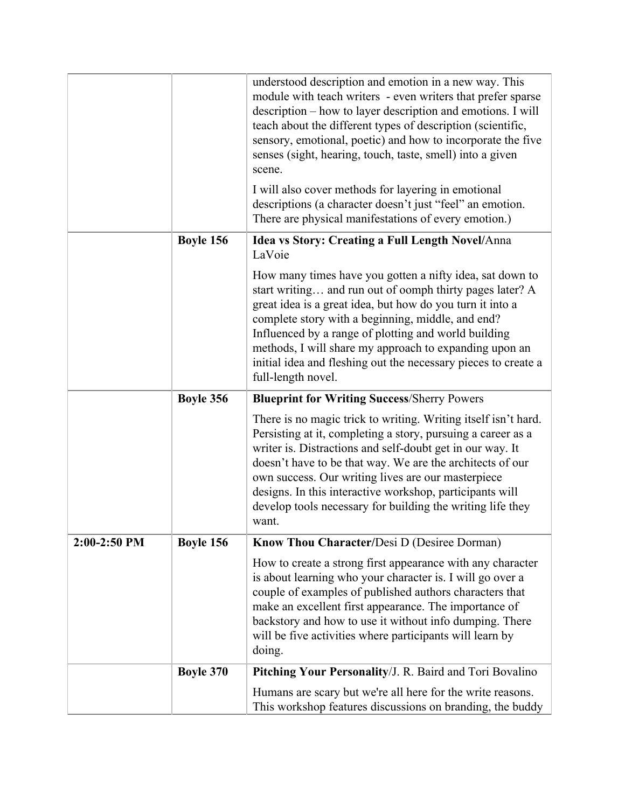|              |                  | understood description and emotion in a new way. This<br>module with teach writers - even writers that prefer sparse<br>description – how to layer description and emotions. I will<br>teach about the different types of description (scientific,<br>sensory, emotional, poetic) and how to incorporate the five<br>senses (sight, hearing, touch, taste, smell) into a given<br>scene.                                                          |
|--------------|------------------|---------------------------------------------------------------------------------------------------------------------------------------------------------------------------------------------------------------------------------------------------------------------------------------------------------------------------------------------------------------------------------------------------------------------------------------------------|
|              |                  | I will also cover methods for layering in emotional<br>descriptions (a character doesn't just "feel" an emotion.<br>There are physical manifestations of every emotion.)                                                                                                                                                                                                                                                                          |
|              | Boyle 156        | Idea vs Story: Creating a Full Length Novel/Anna<br>LaVoie                                                                                                                                                                                                                                                                                                                                                                                        |
|              |                  | How many times have you gotten a nifty idea, sat down to<br>start writing and run out of oomph thirty pages later? A<br>great idea is a great idea, but how do you turn it into a<br>complete story with a beginning, middle, and end?<br>Influenced by a range of plotting and world building<br>methods, I will share my approach to expanding upon an<br>initial idea and fleshing out the necessary pieces to create a<br>full-length novel.  |
|              |                  |                                                                                                                                                                                                                                                                                                                                                                                                                                                   |
|              | Boyle 356        | <b>Blueprint for Writing Success/Sherry Powers</b>                                                                                                                                                                                                                                                                                                                                                                                                |
|              |                  | There is no magic trick to writing. Writing itself isn't hard.<br>Persisting at it, completing a story, pursuing a career as a<br>writer is. Distractions and self-doubt get in our way. It<br>doesn't have to be that way. We are the architects of our<br>own success. Our writing lives are our masterpiece<br>designs. In this interactive workshop, participants will<br>develop tools necessary for building the writing life they<br>want. |
| 2:00-2:50 PM | Boyle 156        | Know Thou Character/Desi D (Desiree Dorman)                                                                                                                                                                                                                                                                                                                                                                                                       |
|              |                  | How to create a strong first appearance with any character<br>is about learning who your character is. I will go over a<br>couple of examples of published authors characters that<br>make an excellent first appearance. The importance of<br>backstory and how to use it without info dumping. There<br>will be five activities where participants will learn by<br>doing.                                                                      |
|              | <b>Boyle 370</b> | Pitching Your Personality/J. R. Baird and Tori Bovalino                                                                                                                                                                                                                                                                                                                                                                                           |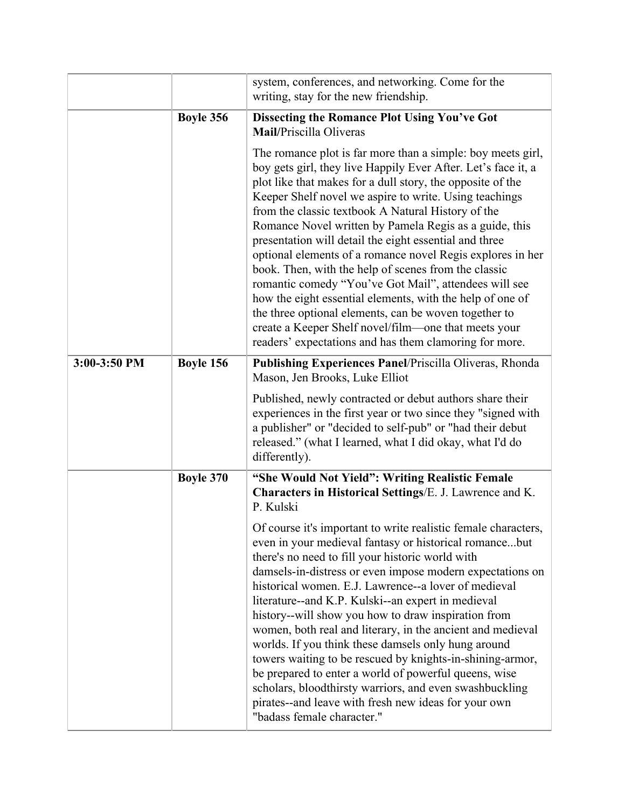|              |                  | system, conferences, and networking. Come for the<br>writing, stay for the new friendship.                                                                                                                                                                                                                                                                                                                                                                                                                                                                                                                                                                                                                                                                                                                                                            |
|--------------|------------------|-------------------------------------------------------------------------------------------------------------------------------------------------------------------------------------------------------------------------------------------------------------------------------------------------------------------------------------------------------------------------------------------------------------------------------------------------------------------------------------------------------------------------------------------------------------------------------------------------------------------------------------------------------------------------------------------------------------------------------------------------------------------------------------------------------------------------------------------------------|
|              | Boyle 356        | <b>Dissecting the Romance Plot Using You've Got</b><br>Mail/Priscilla Oliveras                                                                                                                                                                                                                                                                                                                                                                                                                                                                                                                                                                                                                                                                                                                                                                        |
|              |                  | The romance plot is far more than a simple: boy meets girl,<br>boy gets girl, they live Happily Ever After. Let's face it, a<br>plot like that makes for a dull story, the opposite of the<br>Keeper Shelf novel we aspire to write. Using teachings<br>from the classic textbook A Natural History of the<br>Romance Novel written by Pamela Regis as a guide, this<br>presentation will detail the eight essential and three<br>optional elements of a romance novel Regis explores in her<br>book. Then, with the help of scenes from the classic<br>romantic comedy "You've Got Mail", attendees will see<br>how the eight essential elements, with the help of one of<br>the three optional elements, can be woven together to<br>create a Keeper Shelf novel/film—one that meets your<br>readers' expectations and has them clamoring for more. |
| 3:00-3:50 PM | Boyle 156        | Publishing Experiences Panel/Priscilla Oliveras, Rhonda<br>Mason, Jen Brooks, Luke Elliot                                                                                                                                                                                                                                                                                                                                                                                                                                                                                                                                                                                                                                                                                                                                                             |
|              |                  | Published, newly contracted or debut authors share their<br>experiences in the first year or two since they "signed with<br>a publisher" or "decided to self-pub" or "had their debut<br>released." (what I learned, what I did okay, what I'd do<br>differently).                                                                                                                                                                                                                                                                                                                                                                                                                                                                                                                                                                                    |
|              | <b>Boyle 370</b> | "She Would Not Yield": Writing Realistic Female<br>Characters in Historical Settings/E. J. Lawrence and K.<br>P. Kulski                                                                                                                                                                                                                                                                                                                                                                                                                                                                                                                                                                                                                                                                                                                               |
|              |                  | Of course it's important to write realistic female characters,<br>even in your medieval fantasy or historical romancebut<br>there's no need to fill your historic world with<br>damsels-in-distress or even impose modern expectations on<br>historical women. E.J. Lawrence--a lover of medieval<br>literature--and K.P. Kulski--an expert in medieval<br>history--will show you how to draw inspiration from<br>women, both real and literary, in the ancient and medieval<br>worlds. If you think these damsels only hung around<br>towers waiting to be rescued by knights-in-shining-armor,<br>be prepared to enter a world of powerful queens, wise<br>scholars, bloodthirsty warriors, and even swashbuckling<br>pirates--and leave with fresh new ideas for your own<br>"badass female character."                                            |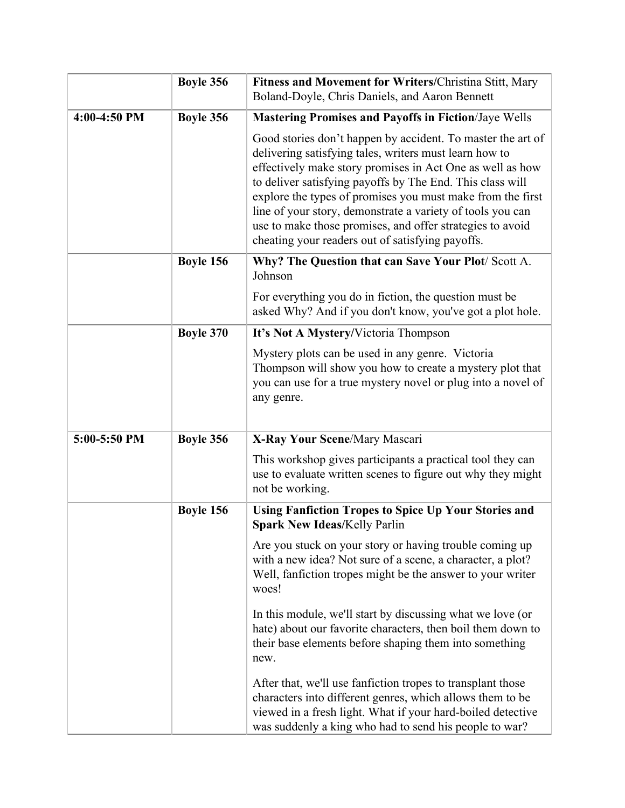|              | Boyle 356        | <b>Fitness and Movement for Writers/Christina Stitt, Mary</b><br>Boland-Doyle, Chris Daniels, and Aaron Bennett                                                                                                                                                                                                                                                                                                                                                                              |
|--------------|------------------|----------------------------------------------------------------------------------------------------------------------------------------------------------------------------------------------------------------------------------------------------------------------------------------------------------------------------------------------------------------------------------------------------------------------------------------------------------------------------------------------|
| 4:00-4:50 PM | Boyle 356        | <b>Mastering Promises and Payoffs in Fiction/Jaye Wells</b>                                                                                                                                                                                                                                                                                                                                                                                                                                  |
|              |                  | Good stories don't happen by accident. To master the art of<br>delivering satisfying tales, writers must learn how to<br>effectively make story promises in Act One as well as how<br>to deliver satisfying payoffs by The End. This class will<br>explore the types of promises you must make from the first<br>line of your story, demonstrate a variety of tools you can<br>use to make those promises, and offer strategies to avoid<br>cheating your readers out of satisfying payoffs. |
|              | Boyle 156        | Why? The Question that can Save Your Plot/Scott A.<br>Johnson                                                                                                                                                                                                                                                                                                                                                                                                                                |
|              |                  | For everything you do in fiction, the question must be<br>asked Why? And if you don't know, you've got a plot hole.                                                                                                                                                                                                                                                                                                                                                                          |
|              | <b>Boyle 370</b> | It's Not A Mystery/Victoria Thompson                                                                                                                                                                                                                                                                                                                                                                                                                                                         |
|              |                  | Mystery plots can be used in any genre. Victoria<br>Thompson will show you how to create a mystery plot that<br>you can use for a true mystery novel or plug into a novel of<br>any genre.                                                                                                                                                                                                                                                                                                   |
| 5:00-5:50 PM | Boyle 356        | X-Ray Your Scene/Mary Mascari                                                                                                                                                                                                                                                                                                                                                                                                                                                                |
|              |                  | This workshop gives participants a practical tool they can<br>use to evaluate written scenes to figure out why they might<br>not be working.                                                                                                                                                                                                                                                                                                                                                 |
|              | Boyle 156        | <b>Using Fanfiction Tropes to Spice Up Your Stories and</b><br><b>Spark New Ideas/Kelly Parlin</b>                                                                                                                                                                                                                                                                                                                                                                                           |
|              |                  | Are you stuck on your story or having trouble coming up<br>with a new idea? Not sure of a scene, a character, a plot?<br>Well, fanfiction tropes might be the answer to your writer<br>woes!                                                                                                                                                                                                                                                                                                 |
|              |                  | In this module, we'll start by discussing what we love (or<br>hate) about our favorite characters, then boil them down to<br>their base elements before shaping them into something<br>new.                                                                                                                                                                                                                                                                                                  |
|              |                  | After that, we'll use fanfiction tropes to transplant those<br>characters into different genres, which allows them to be<br>viewed in a fresh light. What if your hard-boiled detective<br>was suddenly a king who had to send his people to war?                                                                                                                                                                                                                                            |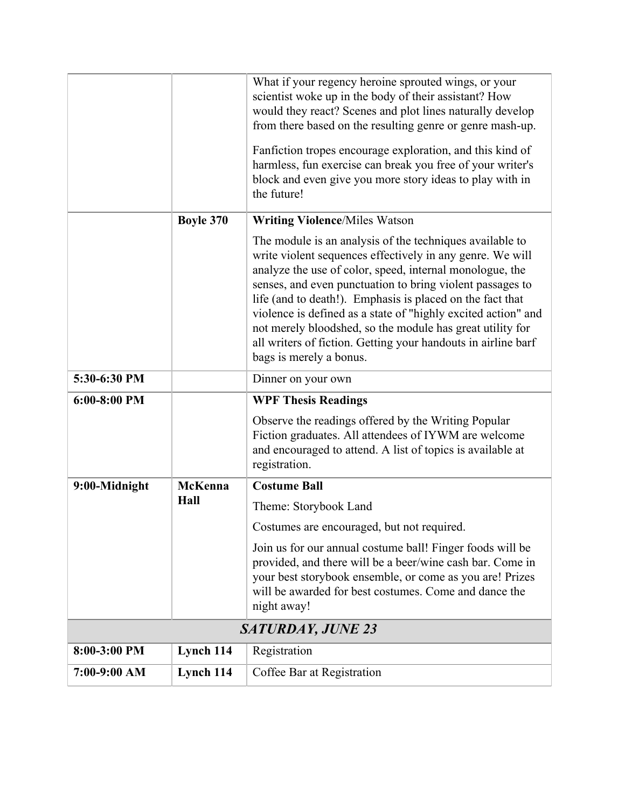|                |                  | What if your regency heroine sprouted wings, or your<br>scientist woke up in the body of their assistant? How<br>would they react? Scenes and plot lines naturally develop<br>from there based on the resulting genre or genre mash-up.<br>Fanfiction tropes encourage exploration, and this kind of<br>harmless, fun exercise can break you free of your writer's<br>block and even give you more story ideas to play with in<br>the future!                                                                                         |
|----------------|------------------|---------------------------------------------------------------------------------------------------------------------------------------------------------------------------------------------------------------------------------------------------------------------------------------------------------------------------------------------------------------------------------------------------------------------------------------------------------------------------------------------------------------------------------------|
|                | <b>Boyle 370</b> | <b>Writing Violence/Miles Watson</b>                                                                                                                                                                                                                                                                                                                                                                                                                                                                                                  |
|                |                  | The module is an analysis of the techniques available to<br>write violent sequences effectively in any genre. We will<br>analyze the use of color, speed, internal monologue, the<br>senses, and even punctuation to bring violent passages to<br>life (and to death!). Emphasis is placed on the fact that<br>violence is defined as a state of "highly excited action" and<br>not merely bloodshed, so the module has great utility for<br>all writers of fiction. Getting your handouts in airline barf<br>bags is merely a bonus. |
| 5:30-6:30 PM   |                  | Dinner on your own                                                                                                                                                                                                                                                                                                                                                                                                                                                                                                                    |
| $6:00-8:00$ PM |                  | <b>WPF Thesis Readings</b>                                                                                                                                                                                                                                                                                                                                                                                                                                                                                                            |
|                |                  | Observe the readings offered by the Writing Popular<br>Fiction graduates. All attendees of IYWM are welcome<br>and encouraged to attend. A list of topics is available at<br>registration.                                                                                                                                                                                                                                                                                                                                            |
| 9:00-Midnight  | <b>McKenna</b>   | <b>Costume Ball</b>                                                                                                                                                                                                                                                                                                                                                                                                                                                                                                                   |
|                | Hall             | Theme: Storybook Land                                                                                                                                                                                                                                                                                                                                                                                                                                                                                                                 |
|                |                  | Costumes are encouraged, but not required.                                                                                                                                                                                                                                                                                                                                                                                                                                                                                            |
|                |                  | Join us for our annual costume ball! Finger foods will be<br>provided, and there will be a beer/wine cash bar. Come in<br>your best storybook ensemble, or come as you are! Prizes<br>will be awarded for best costumes. Come and dance the<br>night away!                                                                                                                                                                                                                                                                            |
|                |                  | <b>SATURDAY, JUNE 23</b>                                                                                                                                                                                                                                                                                                                                                                                                                                                                                                              |
| 8:00-3:00 PM   | Lynch 114        | Registration                                                                                                                                                                                                                                                                                                                                                                                                                                                                                                                          |
| 7:00-9:00 AM   | Lynch 114        | Coffee Bar at Registration                                                                                                                                                                                                                                                                                                                                                                                                                                                                                                            |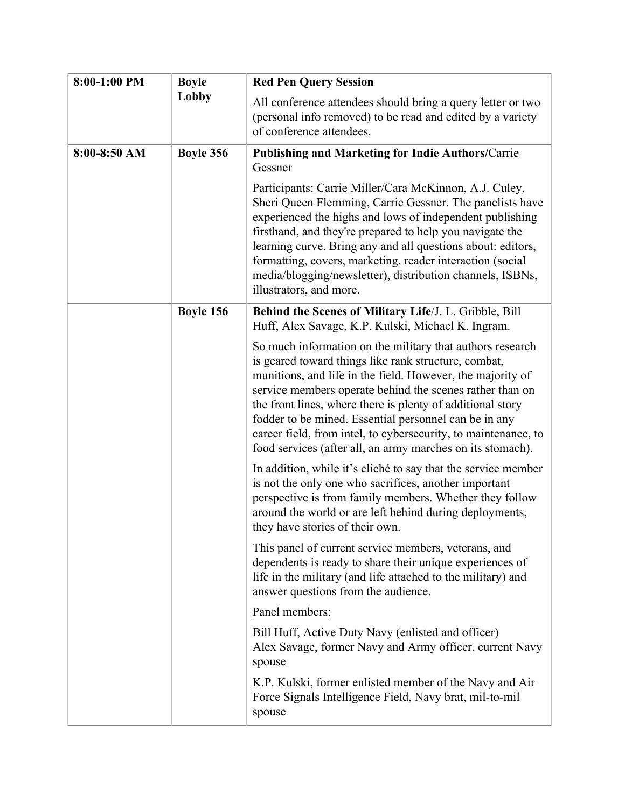| 8:00-1:00 PM | <b>Boyle</b> | <b>Red Pen Query Session</b>                                                                                                                                                                                                                                                                                                                                                                                                                                                                       |
|--------------|--------------|----------------------------------------------------------------------------------------------------------------------------------------------------------------------------------------------------------------------------------------------------------------------------------------------------------------------------------------------------------------------------------------------------------------------------------------------------------------------------------------------------|
|              | Lobby        | All conference attendees should bring a query letter or two<br>(personal info removed) to be read and edited by a variety<br>of conference attendees.                                                                                                                                                                                                                                                                                                                                              |
| 8:00-8:50 AM | Boyle 356    | <b>Publishing and Marketing for Indie Authors/Carrie</b><br>Gessner                                                                                                                                                                                                                                                                                                                                                                                                                                |
|              |              | Participants: Carrie Miller/Cara McKinnon, A.J. Culey,<br>Sheri Queen Flemming, Carrie Gessner. The panelists have<br>experienced the highs and lows of independent publishing<br>firsthand, and they're prepared to help you navigate the<br>learning curve. Bring any and all questions about: editors,<br>formatting, covers, marketing, reader interaction (social<br>media/blogging/newsletter), distribution channels, ISBNs,<br>illustrators, and more.                                     |
|              | Boyle 156    | Behind the Scenes of Military Life/J. L. Gribble, Bill<br>Huff, Alex Savage, K.P. Kulski, Michael K. Ingram.                                                                                                                                                                                                                                                                                                                                                                                       |
|              |              | So much information on the military that authors research<br>is geared toward things like rank structure, combat,<br>munitions, and life in the field. However, the majority of<br>service members operate behind the scenes rather than on<br>the front lines, where there is plenty of additional story<br>fodder to be mined. Essential personnel can be in any<br>career field, from intel, to cybersecurity, to maintenance, to<br>food services (after all, an army marches on its stomach). |
|              |              | In addition, while it's cliché to say that the service member<br>is not the only one who sacrifices, another important<br>perspective is from family members. Whether they follow<br>around the world or are left behind during deployments,<br>they have stories of their own                                                                                                                                                                                                                     |
|              |              | This panel of current service members, veterans, and<br>dependents is ready to share their unique experiences of<br>life in the military (and life attached to the military) and<br>answer questions from the audience.                                                                                                                                                                                                                                                                            |
|              |              | Panel members:                                                                                                                                                                                                                                                                                                                                                                                                                                                                                     |
|              |              | Bill Huff, Active Duty Navy (enlisted and officer)<br>Alex Savage, former Navy and Army officer, current Navy<br>spouse                                                                                                                                                                                                                                                                                                                                                                            |
|              |              | K.P. Kulski, former enlisted member of the Navy and Air<br>Force Signals Intelligence Field, Navy brat, mil-to-mil<br>spouse                                                                                                                                                                                                                                                                                                                                                                       |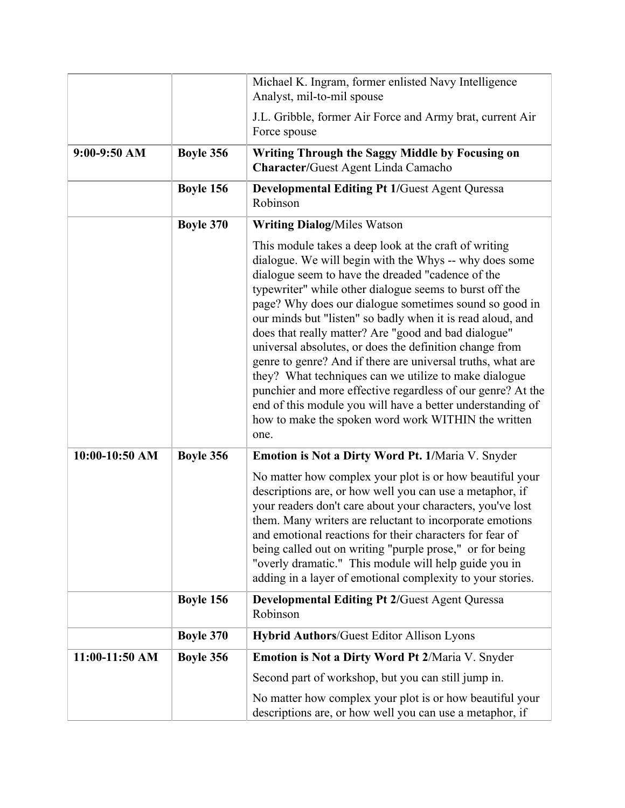|                |                  | Michael K. Ingram, former enlisted Navy Intelligence<br>Analyst, mil-to-mil spouse                                                                                                                                                                                                                                                                                                                                                                                                                                                                                                                                                                                                                                                                                                             |
|----------------|------------------|------------------------------------------------------------------------------------------------------------------------------------------------------------------------------------------------------------------------------------------------------------------------------------------------------------------------------------------------------------------------------------------------------------------------------------------------------------------------------------------------------------------------------------------------------------------------------------------------------------------------------------------------------------------------------------------------------------------------------------------------------------------------------------------------|
|                |                  | J.L. Gribble, former Air Force and Army brat, current Air<br>Force spouse                                                                                                                                                                                                                                                                                                                                                                                                                                                                                                                                                                                                                                                                                                                      |
| $9:00-9:50$ AM | Boyle 356        | Writing Through the Saggy Middle by Focusing on<br><b>Character/Guest Agent Linda Camacho</b>                                                                                                                                                                                                                                                                                                                                                                                                                                                                                                                                                                                                                                                                                                  |
|                | Boyle 156        | <b>Developmental Editing Pt 1/Guest Agent Quressa</b><br>Robinson                                                                                                                                                                                                                                                                                                                                                                                                                                                                                                                                                                                                                                                                                                                              |
|                | <b>Boyle 370</b> | <b>Writing Dialog/Miles Watson</b>                                                                                                                                                                                                                                                                                                                                                                                                                                                                                                                                                                                                                                                                                                                                                             |
|                |                  | This module takes a deep look at the craft of writing<br>dialogue. We will begin with the Whys -- why does some<br>dialogue seem to have the dreaded "cadence of the<br>typewriter" while other dialogue seems to burst off the<br>page? Why does our dialogue sometimes sound so good in<br>our minds but "listen" so badly when it is read aloud, and<br>does that really matter? Are "good and bad dialogue"<br>universal absolutes, or does the definition change from<br>genre to genre? And if there are universal truths, what are<br>they? What techniques can we utilize to make dialogue<br>punchier and more effective regardless of our genre? At the<br>end of this module you will have a better understanding of<br>how to make the spoken word work WITHIN the written<br>one. |
| 10:00-10:50 AM | Boyle 356        | Emotion is Not a Dirty Word Pt. 1/Maria V. Snyder                                                                                                                                                                                                                                                                                                                                                                                                                                                                                                                                                                                                                                                                                                                                              |
|                |                  | No matter how complex your plot is or how beautiful your<br>descriptions are, or how well you can use a metaphor, if<br>your readers don't care about your characters, you've lost<br>them. Many writers are reluctant to incorporate emotions<br>and emotional reactions for their characters for fear of<br>being called out on writing "purple prose," or for being<br>"overly dramatic." This module will help guide you in<br>adding in a layer of emotional complexity to your stories.                                                                                                                                                                                                                                                                                                  |
|                | Boyle 156        | <b>Developmental Editing Pt 2/Guest Agent Quressa</b><br>Robinson                                                                                                                                                                                                                                                                                                                                                                                                                                                                                                                                                                                                                                                                                                                              |
|                | <b>Boyle 370</b> | <b>Hybrid Authors/Guest Editor Allison Lyons</b>                                                                                                                                                                                                                                                                                                                                                                                                                                                                                                                                                                                                                                                                                                                                               |
| 11:00-11:50 AM | Boyle 356        | <b>Emotion is Not a Dirty Word Pt 2/Maria V. Snyder</b>                                                                                                                                                                                                                                                                                                                                                                                                                                                                                                                                                                                                                                                                                                                                        |
|                |                  | Second part of workshop, but you can still jump in.                                                                                                                                                                                                                                                                                                                                                                                                                                                                                                                                                                                                                                                                                                                                            |
|                |                  | No matter how complex your plot is or how beautiful your<br>descriptions are, or how well you can use a metaphor, if                                                                                                                                                                                                                                                                                                                                                                                                                                                                                                                                                                                                                                                                           |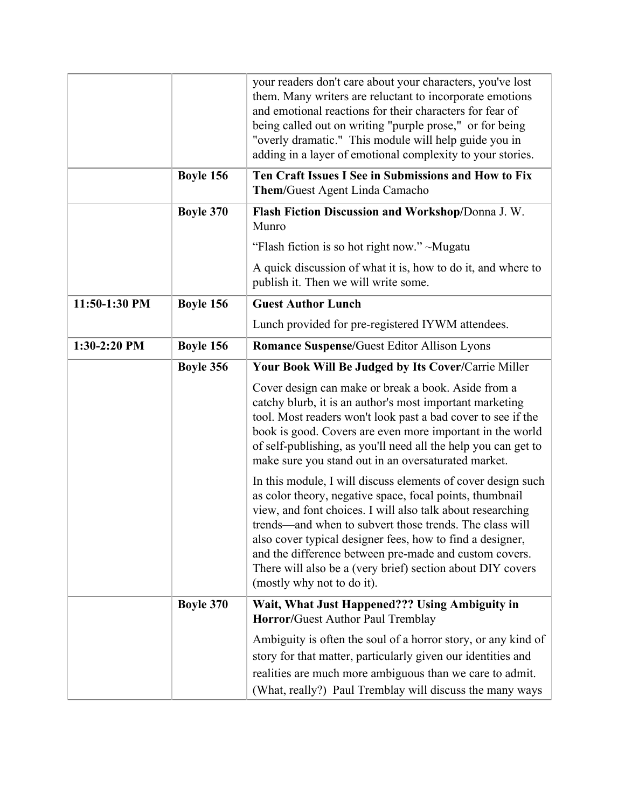|               |                  | your readers don't care about your characters, you've lost<br>them. Many writers are reluctant to incorporate emotions<br>and emotional reactions for their characters for fear of<br>being called out on writing "purple prose," or for being<br>"overly dramatic." This module will help guide you in<br>adding in a layer of emotional complexity to your stories.                                                                                                |
|---------------|------------------|----------------------------------------------------------------------------------------------------------------------------------------------------------------------------------------------------------------------------------------------------------------------------------------------------------------------------------------------------------------------------------------------------------------------------------------------------------------------|
|               | Boyle 156        | Ten Craft Issues I See in Submissions and How to Fix<br><b>Them/Guest Agent Linda Camacho</b>                                                                                                                                                                                                                                                                                                                                                                        |
|               | <b>Boyle 370</b> | Flash Fiction Discussion and Workshop/Donna J. W.<br>Munro                                                                                                                                                                                                                                                                                                                                                                                                           |
|               |                  | "Flash fiction is so hot right now." ~Mugatu                                                                                                                                                                                                                                                                                                                                                                                                                         |
|               |                  | A quick discussion of what it is, how to do it, and where to<br>publish it. Then we will write some.                                                                                                                                                                                                                                                                                                                                                                 |
| 11:50-1:30 PM | Boyle 156        | <b>Guest Author Lunch</b>                                                                                                                                                                                                                                                                                                                                                                                                                                            |
|               |                  | Lunch provided for pre-registered IYWM attendees.                                                                                                                                                                                                                                                                                                                                                                                                                    |
| 1:30-2:20 PM  | Boyle 156        | <b>Romance Suspense/Guest Editor Allison Lyons</b>                                                                                                                                                                                                                                                                                                                                                                                                                   |
|               | Boyle 356        | Your Book Will Be Judged by Its Cover/Carrie Miller                                                                                                                                                                                                                                                                                                                                                                                                                  |
|               |                  | Cover design can make or break a book. Aside from a<br>catchy blurb, it is an author's most important marketing<br>tool. Most readers won't look past a bad cover to see if the<br>book is good. Covers are even more important in the world<br>of self-publishing, as you'll need all the help you can get to<br>make sure you stand out in an oversaturated market.                                                                                                |
|               |                  | In this module, I will discuss elements of cover design such<br>as color theory, negative space, focal points, thumbnail<br>view, and font choices. I will also talk about researching<br>trends—and when to subvert those trends. The class will<br>also cover typical designer fees, how to find a designer,<br>and the difference between pre-made and custom covers.<br>There will also be a (very brief) section about DIY covers<br>(mostly why not to do it). |
|               | <b>Boyle 370</b> | Wait, What Just Happened??? Using Ambiguity in<br><b>Horror/Guest Author Paul Tremblay</b>                                                                                                                                                                                                                                                                                                                                                                           |
|               |                  | Ambiguity is often the soul of a horror story, or any kind of<br>story for that matter, particularly given our identities and<br>realities are much more ambiguous than we care to admit.<br>(What, really?) Paul Tremblay will discuss the many ways                                                                                                                                                                                                                |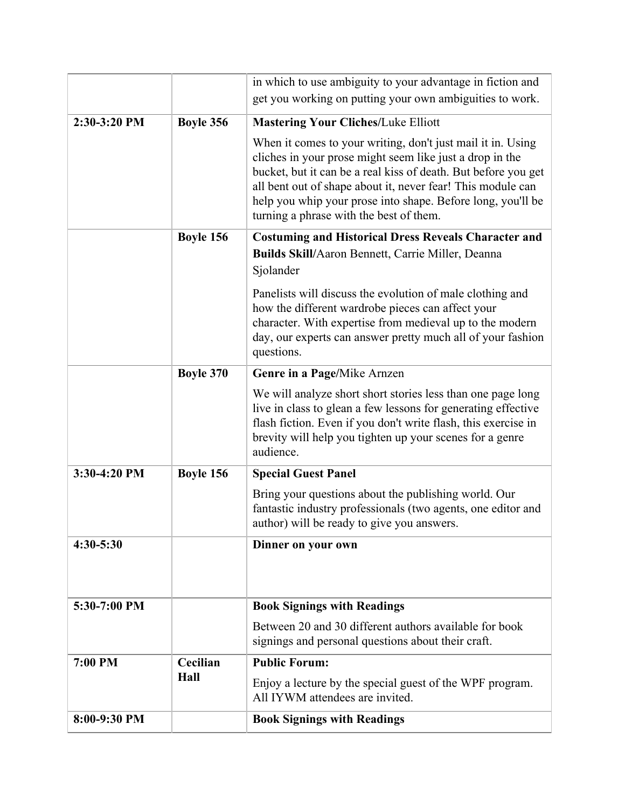|               |                  | in which to use ambiguity to your advantage in fiction and                                                                                                                                                                                                                                                                                                         |
|---------------|------------------|--------------------------------------------------------------------------------------------------------------------------------------------------------------------------------------------------------------------------------------------------------------------------------------------------------------------------------------------------------------------|
|               |                  | get you working on putting your own ambiguities to work.                                                                                                                                                                                                                                                                                                           |
| 2:30-3:20 PM  | Boyle 356        | <b>Mastering Your Cliches/Luke Elliott</b>                                                                                                                                                                                                                                                                                                                         |
|               |                  | When it comes to your writing, don't just mail it in. Using<br>cliches in your prose might seem like just a drop in the<br>bucket, but it can be a real kiss of death. But before you get<br>all bent out of shape about it, never fear! This module can<br>help you whip your prose into shape. Before long, you'll be<br>turning a phrase with the best of them. |
|               | Boyle 156        | <b>Costuming and Historical Dress Reveals Character and</b>                                                                                                                                                                                                                                                                                                        |
|               |                  | Builds Skill/Aaron Bennett, Carrie Miller, Deanna<br>Sjolander                                                                                                                                                                                                                                                                                                     |
|               |                  | Panelists will discuss the evolution of male clothing and<br>how the different wardrobe pieces can affect your<br>character. With expertise from medieval up to the modern<br>day, our experts can answer pretty much all of your fashion<br>questions.                                                                                                            |
|               | <b>Boyle 370</b> | Genre in a Page/Mike Arnzen                                                                                                                                                                                                                                                                                                                                        |
|               |                  | We will analyze short short stories less than one page long<br>live in class to glean a few lessons for generating effective<br>flash fiction. Even if you don't write flash, this exercise in<br>brevity will help you tighten up your scenes for a genre<br>audience.                                                                                            |
| 3:30-4:20 PM  | Boyle 156        | <b>Special Guest Panel</b>                                                                                                                                                                                                                                                                                                                                         |
|               |                  | Bring your questions about the publishing world. Our<br>fantastic industry professionals (two agents, one editor and<br>author) will be ready to give you answers.                                                                                                                                                                                                 |
| $4:30 - 5:30$ |                  | Dinner on your own                                                                                                                                                                                                                                                                                                                                                 |
| 5:30-7:00 PM  |                  | <b>Book Signings with Readings</b>                                                                                                                                                                                                                                                                                                                                 |
|               |                  | Between 20 and 30 different authors available for book<br>signings and personal questions about their craft.                                                                                                                                                                                                                                                       |
| 7:00 PM       | Cecilian         | <b>Public Forum:</b>                                                                                                                                                                                                                                                                                                                                               |
|               | Hall             | Enjoy a lecture by the special guest of the WPF program.<br>All IYWM attendees are invited.                                                                                                                                                                                                                                                                        |
| 8:00-9:30 PM  |                  | <b>Book Signings with Readings</b>                                                                                                                                                                                                                                                                                                                                 |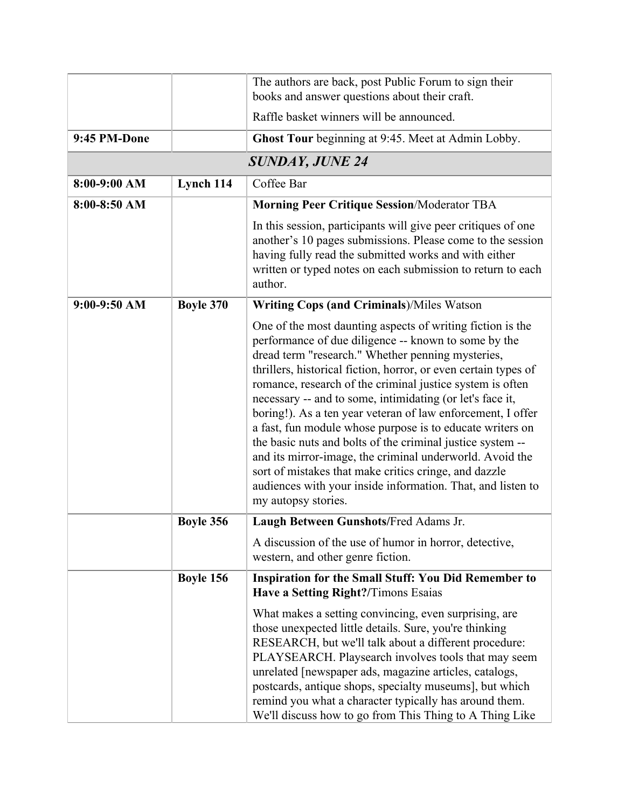|                |                  | The authors are back, post Public Forum to sign their<br>books and answer questions about their craft.                                                                                                                                                                                                                                                                                                                                                                                                                                                                                                                                                                                                                                                                    |
|----------------|------------------|---------------------------------------------------------------------------------------------------------------------------------------------------------------------------------------------------------------------------------------------------------------------------------------------------------------------------------------------------------------------------------------------------------------------------------------------------------------------------------------------------------------------------------------------------------------------------------------------------------------------------------------------------------------------------------------------------------------------------------------------------------------------------|
|                |                  | Raffle basket winners will be announced.                                                                                                                                                                                                                                                                                                                                                                                                                                                                                                                                                                                                                                                                                                                                  |
| 9:45 PM-Done   |                  | Ghost Tour beginning at 9:45. Meet at Admin Lobby.                                                                                                                                                                                                                                                                                                                                                                                                                                                                                                                                                                                                                                                                                                                        |
|                |                  | <b>SUNDAY, JUNE 24</b>                                                                                                                                                                                                                                                                                                                                                                                                                                                                                                                                                                                                                                                                                                                                                    |
| $8:00-9:00$ AM | Lynch 114        | Coffee Bar                                                                                                                                                                                                                                                                                                                                                                                                                                                                                                                                                                                                                                                                                                                                                                |
| $8:00-8:50$ AM |                  | <b>Morning Peer Critique Session/Moderator TBA</b>                                                                                                                                                                                                                                                                                                                                                                                                                                                                                                                                                                                                                                                                                                                        |
|                |                  | In this session, participants will give peer critiques of one<br>another's 10 pages submissions. Please come to the session<br>having fully read the submitted works and with either<br>written or typed notes on each submission to return to each<br>author.                                                                                                                                                                                                                                                                                                                                                                                                                                                                                                            |
| $9:00-9:50$ AM | <b>Boyle 370</b> | <b>Writing Cops (and Criminals)/Miles Watson</b>                                                                                                                                                                                                                                                                                                                                                                                                                                                                                                                                                                                                                                                                                                                          |
|                |                  | One of the most daunting aspects of writing fiction is the<br>performance of due diligence -- known to some by the<br>dread term "research." Whether penning mysteries,<br>thrillers, historical fiction, horror, or even certain types of<br>romance, research of the criminal justice system is often<br>necessary -- and to some, intimidating (or let's face it,<br>boring!). As a ten year veteran of law enforcement, I offer<br>a fast, fun module whose purpose is to educate writers on<br>the basic nuts and bolts of the criminal justice system --<br>and its mirror-image, the criminal underworld. Avoid the<br>sort of mistakes that make critics cringe, and dazzle<br>audiences with your inside information. That, and listen to<br>my autopsy stories. |
|                | Boyle 356        | Laugh Between Gunshots/Fred Adams Jr.                                                                                                                                                                                                                                                                                                                                                                                                                                                                                                                                                                                                                                                                                                                                     |
|                |                  | A discussion of the use of humor in horror, detective,<br>western, and other genre fiction.                                                                                                                                                                                                                                                                                                                                                                                                                                                                                                                                                                                                                                                                               |
|                | Boyle 156        | <b>Inspiration for the Small Stuff: You Did Remember to</b><br>Have a Setting Right?/Timons Esaias                                                                                                                                                                                                                                                                                                                                                                                                                                                                                                                                                                                                                                                                        |
|                |                  | What makes a setting convincing, even surprising, are<br>those unexpected little details. Sure, you're thinking<br>RESEARCH, but we'll talk about a different procedure:<br>PLAYSEARCH. Playsearch involves tools that may seem<br>unrelated [newspaper ads, magazine articles, catalogs,<br>postcards, antique shops, specialty museums], but which<br>remind you what a character typically has around them.<br>We'll discuss how to go from This Thing to A Thing Like                                                                                                                                                                                                                                                                                                 |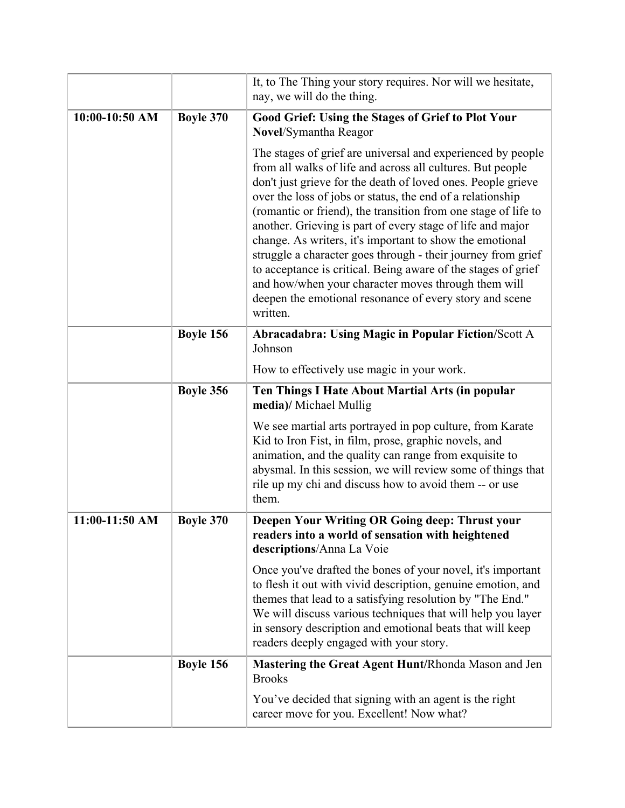|                  |                  | It, to The Thing your story requires. Nor will we hesitate,<br>nay, we will do the thing.                                                                                                                                                                                                                                                                                                                                                                                                                                                                                                                                                                                                                          |
|------------------|------------------|--------------------------------------------------------------------------------------------------------------------------------------------------------------------------------------------------------------------------------------------------------------------------------------------------------------------------------------------------------------------------------------------------------------------------------------------------------------------------------------------------------------------------------------------------------------------------------------------------------------------------------------------------------------------------------------------------------------------|
| $10:00-10:50$ AM | <b>Boyle 370</b> | <b>Good Grief: Using the Stages of Grief to Plot Your</b><br>Novel/Symantha Reagor                                                                                                                                                                                                                                                                                                                                                                                                                                                                                                                                                                                                                                 |
|                  |                  | The stages of grief are universal and experienced by people<br>from all walks of life and across all cultures. But people<br>don't just grieve for the death of loved ones. People grieve<br>over the loss of jobs or status, the end of a relationship<br>(romantic or friend), the transition from one stage of life to<br>another. Grieving is part of every stage of life and major<br>change. As writers, it's important to show the emotional<br>struggle a character goes through - their journey from grief<br>to acceptance is critical. Being aware of the stages of grief<br>and how/when your character moves through them will<br>deepen the emotional resonance of every story and scene<br>written. |
|                  | Boyle 156        | <b>Abracadabra: Using Magic in Popular Fiction/Scott A</b><br>Johnson                                                                                                                                                                                                                                                                                                                                                                                                                                                                                                                                                                                                                                              |
|                  |                  | How to effectively use magic in your work.                                                                                                                                                                                                                                                                                                                                                                                                                                                                                                                                                                                                                                                                         |
|                  | Boyle 356        | Ten Things I Hate About Martial Arts (in popular<br>media)/ Michael Mullig                                                                                                                                                                                                                                                                                                                                                                                                                                                                                                                                                                                                                                         |
|                  |                  | We see martial arts portrayed in pop culture, from Karate<br>Kid to Iron Fist, in film, prose, graphic novels, and<br>animation, and the quality can range from exquisite to<br>abysmal. In this session, we will review some of things that<br>rile up my chi and discuss how to avoid them -- or use<br>them.                                                                                                                                                                                                                                                                                                                                                                                                    |
| 11:00-11:50 AM   | <b>Boyle 370</b> | Deepen Your Writing OR Going deep: Thrust your<br>readers into a world of sensation with heightened<br>descriptions/Anna La Voie                                                                                                                                                                                                                                                                                                                                                                                                                                                                                                                                                                                   |
|                  |                  | Once you've drafted the bones of your novel, it's important<br>to flesh it out with vivid description, genuine emotion, and<br>themes that lead to a satisfying resolution by "The End."<br>We will discuss various techniques that will help you layer<br>in sensory description and emotional beats that will keep<br>readers deeply engaged with your story.                                                                                                                                                                                                                                                                                                                                                    |
|                  | Boyle 156        | Mastering the Great Agent Hunt/Rhonda Mason and Jen<br><b>Brooks</b>                                                                                                                                                                                                                                                                                                                                                                                                                                                                                                                                                                                                                                               |
|                  |                  | You've decided that signing with an agent is the right<br>career move for you. Excellent! Now what?                                                                                                                                                                                                                                                                                                                                                                                                                                                                                                                                                                                                                |